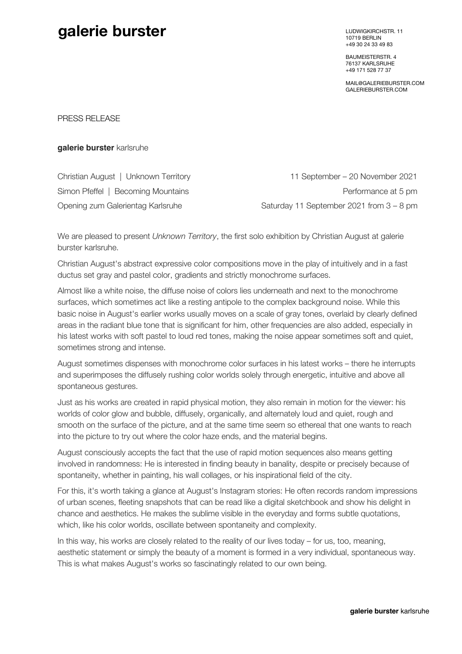## **galerie burster** LUDWIGKIRCHSTR. 11

10719 BERLIN +49 30 24 33 49 83

BAUMEISTERSTR. 4 76137 KARLSRUHE +49 171 528 77 37

MAIL@GALERIEBURSTER.COM GALERIEBURSTER.COM

PRESS RELEASE

**galerie burster** karlsruhe

| Christian August   Unknown Territory | 11 September – 20 November 2021          |
|--------------------------------------|------------------------------------------|
| Simon Pfeffel   Becoming Mountains   | Performance at 5 pm                      |
| Opening zum Galerientag Karlsruhe    | Saturday 11 September 2021 from 3 - 8 pm |

We are pleased to present *Unknown Territory*, the first solo exhibition by Christian August at galerie burster karlsruhe.

Christian August's abstract expressive color compositions move in the play of intuitively and in a fast ductus set gray and pastel color, gradients and strictly monochrome surfaces.

Almost like a white noise, the diffuse noise of colors lies underneath and next to the monochrome surfaces, which sometimes act like a resting antipole to the complex background noise. While this basic noise in August's earlier works usually moves on a scale of gray tones, overlaid by clearly defined areas in the radiant blue tone that is significant for him, other frequencies are also added, especially in his latest works with soft pastel to loud red tones, making the noise appear sometimes soft and quiet, sometimes strong and intense.

August sometimes dispenses with monochrome color surfaces in his latest works – there he interrupts and superimposes the diffusely rushing color worlds solely through energetic, intuitive and above all spontaneous gestures.

Just as his works are created in rapid physical motion, they also remain in motion for the viewer: his worlds of color glow and bubble, diffusely, organically, and alternately loud and quiet, rough and smooth on the surface of the picture, and at the same time seem so ethereal that one wants to reach into the picture to try out where the color haze ends, and the material begins.

August consciously accepts the fact that the use of rapid motion sequences also means getting involved in randomness: He is interested in finding beauty in banality, despite or precisely because of spontaneity, whether in painting, his wall collages, or his inspirational field of the city.

For this, it's worth taking a glance at August's Instagram stories: He often records random impressions of urban scenes, fleeting snapshots that can be read like a digital sketchbook and show his delight in chance and aesthetics. He makes the sublime visible in the everyday and forms subtle quotations, which, like his color worlds, oscillate between spontaneity and complexity.

In this way, his works are closely related to the reality of our lives today – for us, too, meaning, aesthetic statement or simply the beauty of a moment is formed in a very individual, spontaneous way. This is what makes August's works so fascinatingly related to our own being.